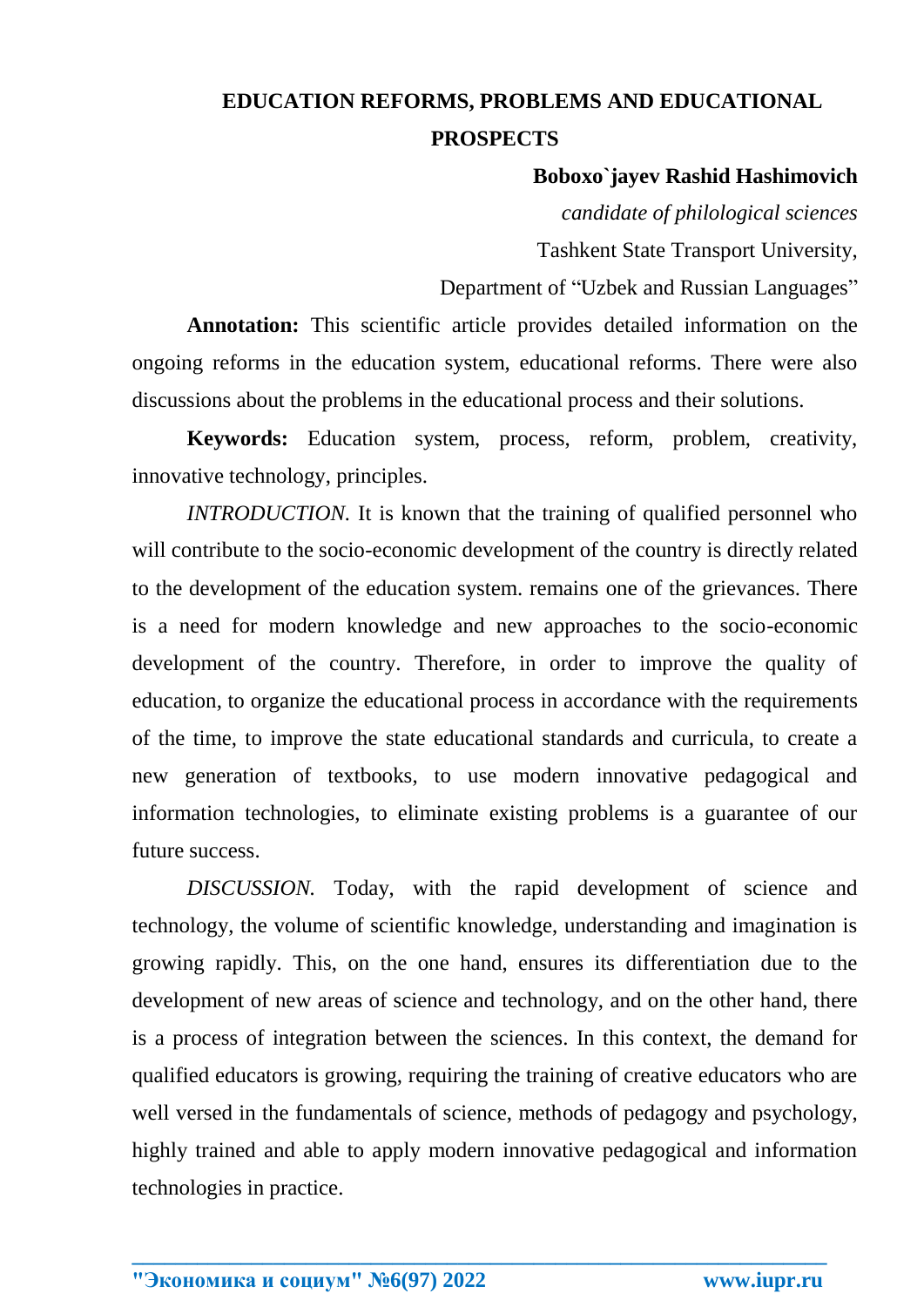## **EDUCATION REFORMS, PROBLEMS AND EDUCATIONAL PROSPECTS**

## **Boboxo`jayev Rashid Hashimovich**

*candidate of philological sciences* Tashkent State Transport University,

Department of "Uzbek and Russian Languages"

**Annotation:** This scientific article provides detailed information on the ongoing reforms in the education system, educational reforms. There were also discussions about the problems in the educational process and their solutions.

**Keywords:** Education system, process, reform, problem, creativity, innovative technology, principles.

*INTRODUCTION*. It is known that the training of qualified personnel who will contribute to the socio-economic development of the country is directly related to the development of the education system. remains one of the grievances. There is a need for modern knowledge and new approaches to the socio-economic development of the country. Therefore, in order to improve the quality of education, to organize the educational process in accordance with the requirements of the time, to improve the state educational standards and curricula, to create a new generation of textbooks, to use modern innovative pedagogical and information technologies, to eliminate existing problems is a guarantee of our future success.

*DISCUSSION.* Today, with the rapid development of science and technology, the volume of scientific knowledge, understanding and imagination is growing rapidly. This, on the one hand, ensures its differentiation due to the development of new areas of science and technology, and on the other hand, there is a process of integration between the sciences. In this context, the demand for qualified educators is growing, requiring the training of creative educators who are well versed in the fundamentals of science, methods of pedagogy and psychology, highly trained and able to apply modern innovative pedagogical and information technologies in practice.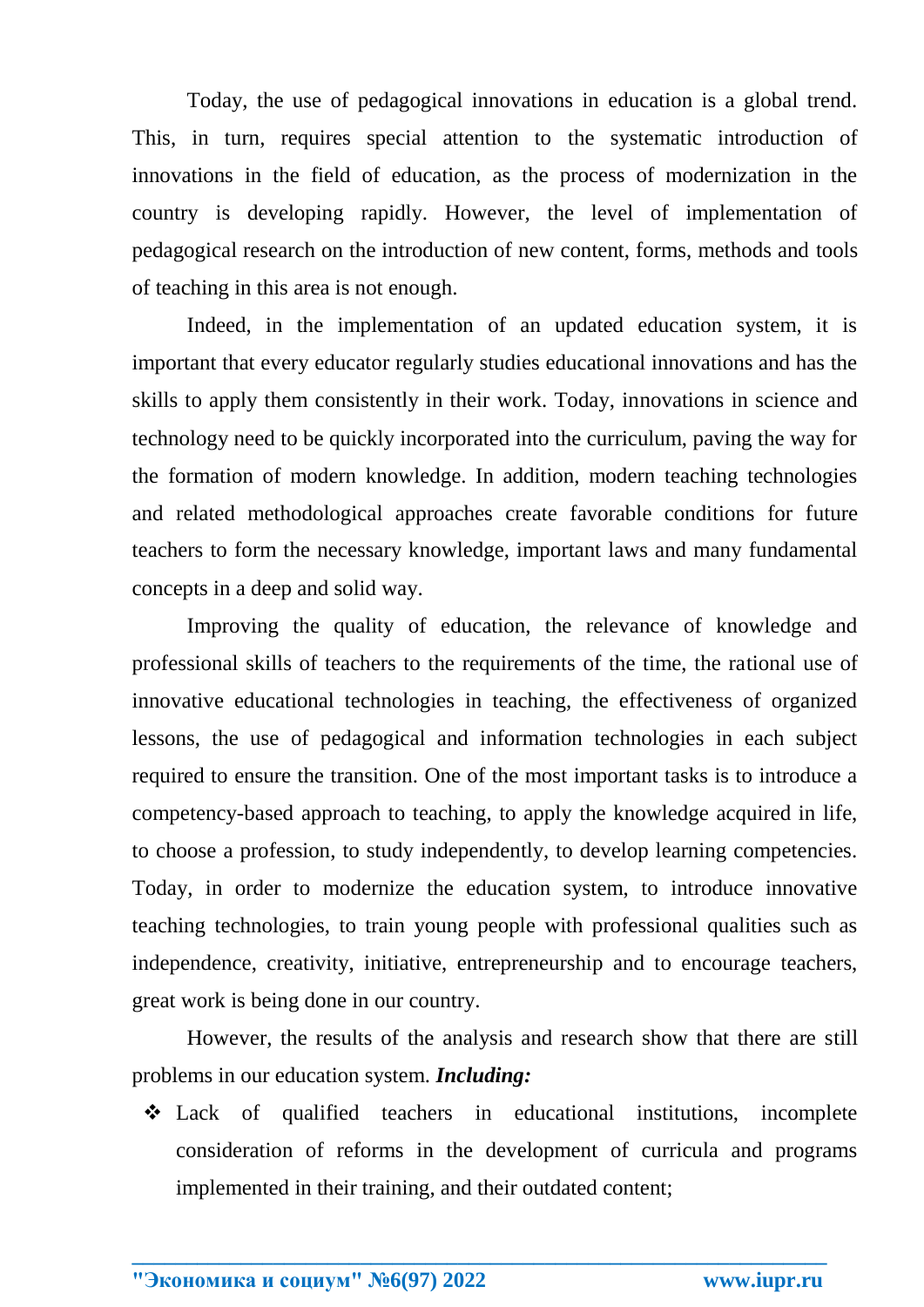Today, the use of pedagogical innovations in education is a global trend. This, in turn, requires special attention to the systematic introduction of innovations in the field of education, as the process of modernization in the country is developing rapidly. However, the level of implementation of pedagogical research on the introduction of new content, forms, methods and tools of teaching in this area is not enough.

Indeed, in the implementation of an updated education system, it is important that every educator regularly studies educational innovations and has the skills to apply them consistently in their work. Today, innovations in science and technology need to be quickly incorporated into the curriculum, paving the way for the formation of modern knowledge. In addition, modern teaching technologies and related methodological approaches create favorable conditions for future teachers to form the necessary knowledge, important laws and many fundamental concepts in a deep and solid way.

Improving the quality of education, the relevance of knowledge and professional skills of teachers to the requirements of the time, the rational use of innovative educational technologies in teaching, the effectiveness of organized lessons, the use of pedagogical and information technologies in each subject required to ensure the transition. One of the most important tasks is to introduce a competency-based approach to teaching, to apply the knowledge acquired in life, to choose a profession, to study independently, to develop learning competencies. Today, in order to modernize the education system, to introduce innovative teaching technologies, to train young people with professional qualities such as independence, creativity, initiative, entrepreneurship and to encourage teachers, great work is being done in our country.

However, the results of the analysis and research show that there are still problems in our education system. *Including:*

 Lack of qualified teachers in educational institutions, incomplete consideration of reforms in the development of curricula and programs implemented in their training, and their outdated content;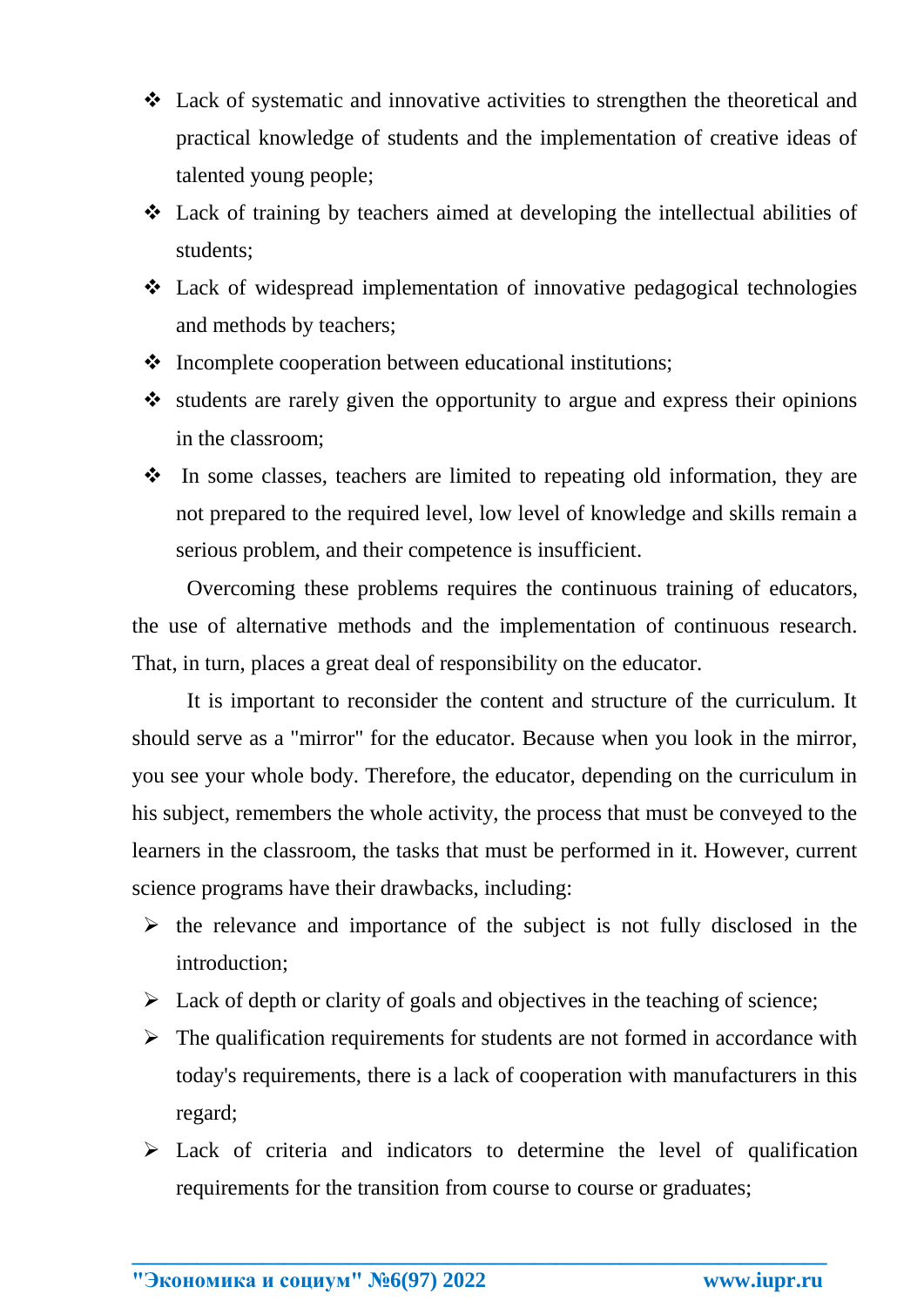- Lack of systematic and innovative activities to strengthen the theoretical and practical knowledge of students and the implementation of creative ideas of talented young people;
- Lack of training by teachers aimed at developing the intellectual abilities of students;
- Lack of widespread implementation of innovative pedagogical technologies and methods by teachers;
- $\triangle$  Incomplete cooperation between educational institutions;
- $\cdot$  students are rarely given the opportunity to argue and express their opinions in the classroom;
- $\cdot \cdot$  In some classes, teachers are limited to repeating old information, they are not prepared to the required level, low level of knowledge and skills remain a serious problem, and their competence is insufficient.

Overcoming these problems requires the continuous training of educators, the use of alternative methods and the implementation of continuous research. That, in turn, places a great deal of responsibility on the educator.

It is important to reconsider the content and structure of the curriculum. It should serve as a "mirror" for the educator. Because when you look in the mirror, you see your whole body. Therefore, the educator, depending on the curriculum in his subject, remembers the whole activity, the process that must be conveyed to the learners in the classroom, the tasks that must be performed in it. However, current science programs have their drawbacks, including:

- $\triangleright$  the relevance and importance of the subject is not fully disclosed in the introduction;
- $\triangleright$  Lack of depth or clarity of goals and objectives in the teaching of science;
- $\triangleright$  The qualification requirements for students are not formed in accordance with today's requirements, there is a lack of cooperation with manufacturers in this regard;
- $\triangleright$  Lack of criteria and indicators to determine the level of qualification requirements for the transition from course to course or graduates;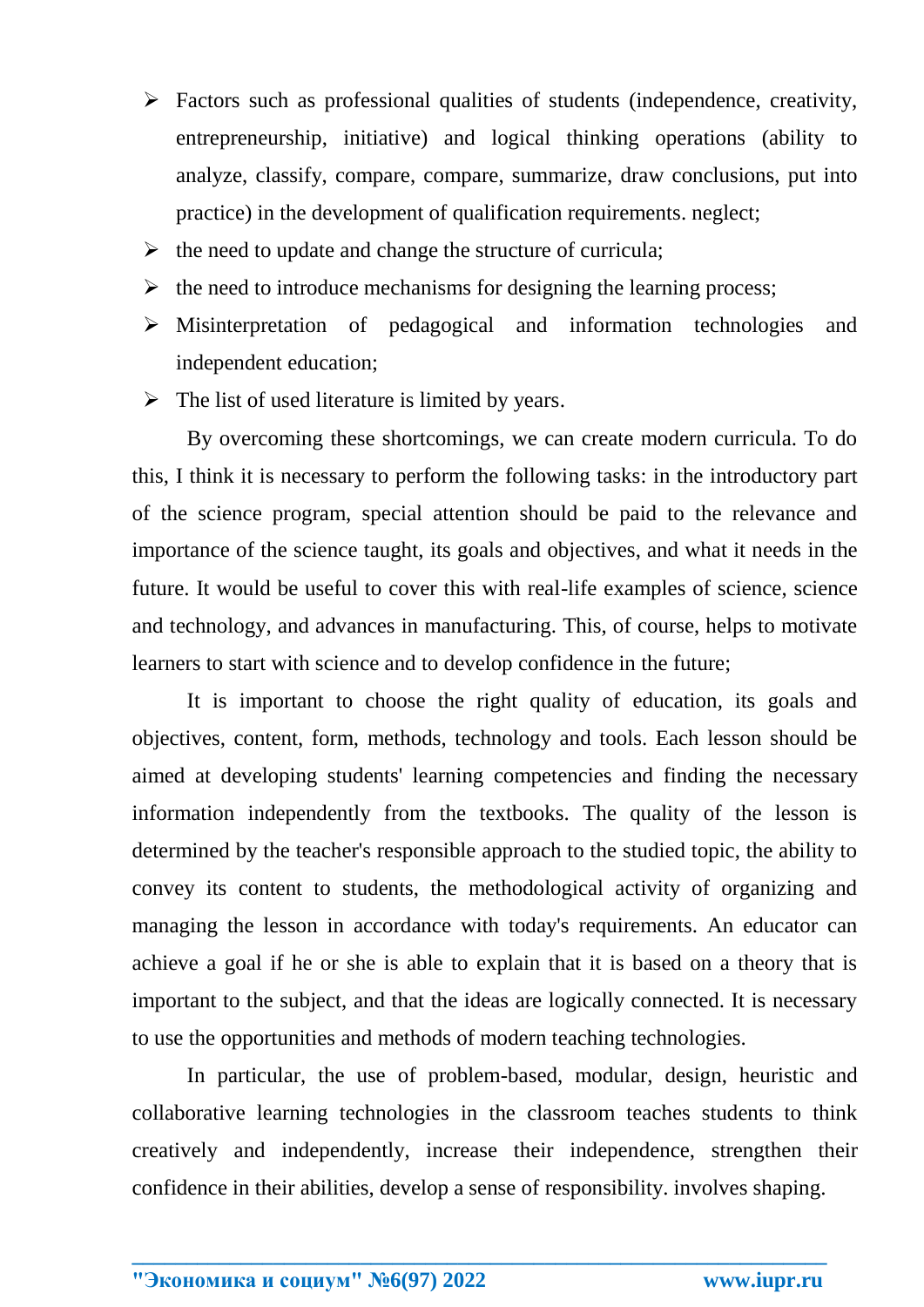- $\triangleright$  Factors such as professional qualities of students (independence, creativity, entrepreneurship, initiative) and logical thinking operations (ability to analyze, classify, compare, compare, summarize, draw conclusions, put into practice) in the development of qualification requirements. neglect;
- $\triangleright$  the need to update and change the structure of curricula;
- $\triangleright$  the need to introduce mechanisms for designing the learning process;
- Misinterpretation of pedagogical and information technologies and independent education;
- $\triangleright$  The list of used literature is limited by years.

By overcoming these shortcomings, we can create modern curricula. To do this, I think it is necessary to perform the following tasks: in the introductory part of the science program, special attention should be paid to the relevance and importance of the science taught, its goals and objectives, and what it needs in the future. It would be useful to cover this with real-life examples of science, science and technology, and advances in manufacturing. This, of course, helps to motivate learners to start with science and to develop confidence in the future;

It is important to choose the right quality of education, its goals and objectives, content, form, methods, technology and tools. Each lesson should be aimed at developing students' learning competencies and finding the necessary information independently from the textbooks. The quality of the lesson is determined by the teacher's responsible approach to the studied topic, the ability to convey its content to students, the methodological activity of organizing and managing the lesson in accordance with today's requirements. An educator can achieve a goal if he or she is able to explain that it is based on a theory that is important to the subject, and that the ideas are logically connected. It is necessary to use the opportunities and methods of modern teaching technologies.

In particular, the use of problem-based, modular, design, heuristic and collaborative learning technologies in the classroom teaches students to think creatively and independently, increase their independence, strengthen their confidence in their abilities, develop a sense of responsibility. involves shaping.